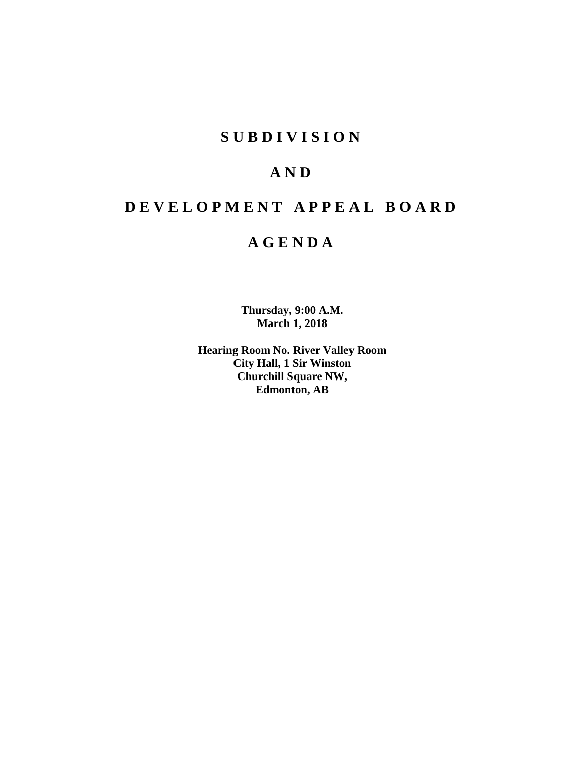## **S U B D I V I S I O N**

## **A N D**

# **D E V E L O P M E N T A P P E A L B O A R D**

## **A G E N D A**

**Thursday, 9:00 A.M. March 1, 2018**

**Hearing Room No. River Valley Room City Hall, 1 Sir Winston Churchill Square NW, Edmonton, AB**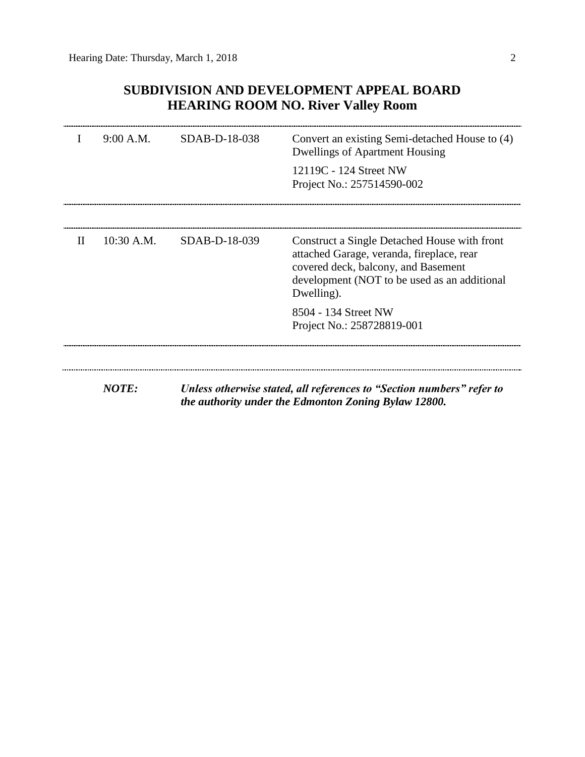## **SUBDIVISION AND DEVELOPMENT APPEAL BOARD HEARING ROOM NO. River Valley Room**

|              | 9:00 A.M.    | SDAB-D-18-038 | Convert an existing Semi-detached House to (4)<br><b>Dwellings of Apartment Housing</b>                                                                                                        |  |
|--------------|--------------|---------------|------------------------------------------------------------------------------------------------------------------------------------------------------------------------------------------------|--|
|              |              |               | 12119C - 124 Street NW<br>Project No.: 257514590-002                                                                                                                                           |  |
| $\mathbf{H}$ | $10:30$ A.M. | SDAB-D-18-039 | Construct a Single Detached House with front<br>attached Garage, veranda, fireplace, rear<br>covered deck, balcony, and Basement<br>development (NOT to be used as an additional<br>Dwelling). |  |
|              |              |               | 8504 - 134 Street NW<br>Project No.: 258728819-001                                                                                                                                             |  |
|              | <b>NOTE:</b> |               |                                                                                                                                                                                                |  |
|              |              |               | Unless otherwise stated, all references to "Section numbers" refer to<br>the authority under the Edmonton Zoning Bylaw 12800.                                                                  |  |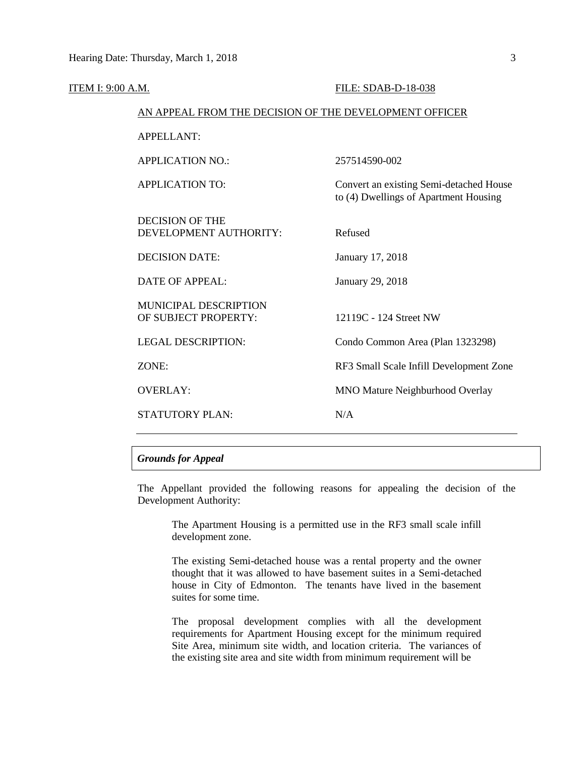| <b>ITEM I: 9:00 A.M.</b> |                                                        | FILE: SDAB-D-18-038                                                              |  |  |
|--------------------------|--------------------------------------------------------|----------------------------------------------------------------------------------|--|--|
|                          | AN APPEAL FROM THE DECISION OF THE DEVELOPMENT OFFICER |                                                                                  |  |  |
|                          | <b>APPELLANT:</b>                                      |                                                                                  |  |  |
|                          | <b>APPLICATION NO.:</b>                                | 257514590-002                                                                    |  |  |
|                          | <b>APPLICATION TO:</b>                                 | Convert an existing Semi-detached House<br>to (4) Dwellings of Apartment Housing |  |  |
|                          | <b>DECISION OF THE</b><br>DEVELOPMENT AUTHORITY:       | Refused                                                                          |  |  |
|                          | <b>DECISION DATE:</b>                                  | January 17, 2018                                                                 |  |  |
|                          | DATE OF APPEAL:                                        | January 29, 2018                                                                 |  |  |
|                          | MUNICIPAL DESCRIPTION<br>OF SUBJECT PROPERTY:          | 12119C - 124 Street NW                                                           |  |  |
|                          | <b>LEGAL DESCRIPTION:</b>                              | Condo Common Area (Plan 1323298)                                                 |  |  |
|                          | ZONE:                                                  | RF3 Small Scale Infill Development Zone                                          |  |  |
|                          | <b>OVERLAY:</b>                                        | MNO Mature Neighburhood Overlay                                                  |  |  |
|                          | <b>STATUTORY PLAN:</b>                                 | N/A                                                                              |  |  |
|                          |                                                        |                                                                                  |  |  |

## *Grounds for Appeal*

The Appellant provided the following reasons for appealing the decision of the Development Authority:

The Apartment Housing is a permitted use in the RF3 small scale infill development zone.

The existing Semi-detached house was a rental property and the owner thought that it was allowed to have basement suites in a Semi-detached house in City of Edmonton. The tenants have lived in the basement suites for some time.

The proposal development complies with all the development requirements for Apartment Housing except for the minimum required Site Area, minimum site width, and location criteria. The variances of the existing site area and site width from minimum requirement will be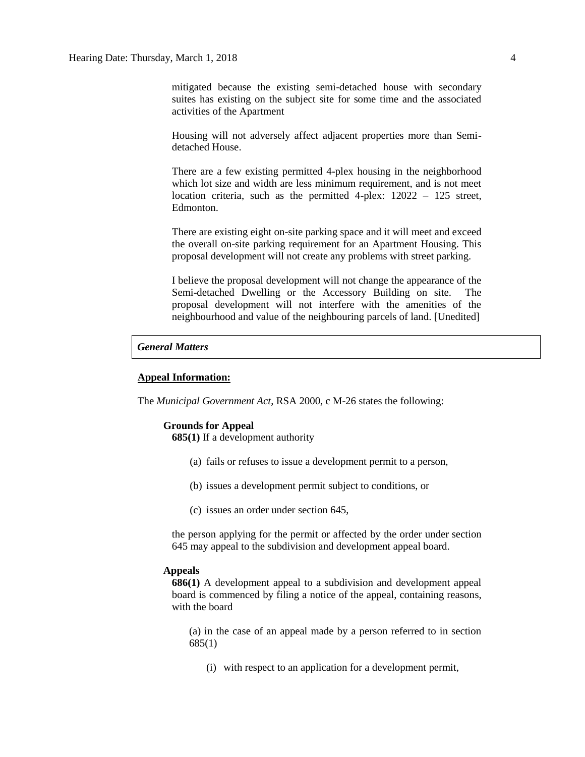mitigated because the existing semi-detached house with secondary suites has existing on the subject site for some time and the associated activities of the Apartment

Housing will not adversely affect adjacent properties more than Semidetached House.

There are a few existing permitted 4-plex housing in the neighborhood which lot size and width are less minimum requirement, and is not meet location criteria, such as the permitted 4-plex: 12022 – 125 street, Edmonton.

There are existing eight on-site parking space and it will meet and exceed the overall on-site parking requirement for an Apartment Housing. This proposal development will not create any problems with street parking.

I believe the proposal development will not change the appearance of the Semi-detached Dwelling or the Accessory Building on site. The proposal development will not interfere with the amenities of the neighbourhood and value of the neighbouring parcels of land. [Unedited]

### *General Matters*

#### **Appeal Information:**

The *Municipal Government Act*, RSA 2000, c M-26 states the following:

## **Grounds for Appeal**

**685(1)** If a development authority

- (a) fails or refuses to issue a development permit to a person,
- (b) issues a development permit subject to conditions, or
- (c) issues an order under section 645,

the person applying for the permit or affected by the order under section 645 may appeal to the subdivision and development appeal board.

#### **Appeals**

**686(1)** A development appeal to a subdivision and development appeal board is commenced by filing a notice of the appeal, containing reasons, with the board

(a) in the case of an appeal made by a person referred to in section 685(1)

(i) with respect to an application for a development permit,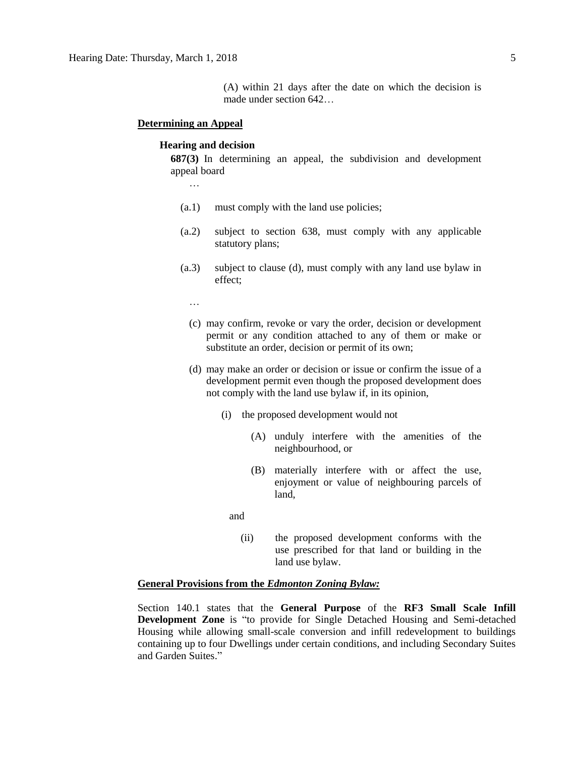#### **Determining an Appeal**

#### **Hearing and decision**

**687(3)** In determining an appeal, the subdivision and development appeal board

- …
- (a.1) must comply with the land use policies;
- (a.2) subject to section 638, must comply with any applicable statutory plans;
- (a.3) subject to clause (d), must comply with any land use bylaw in effect;
	- …
	- (c) may confirm, revoke or vary the order, decision or development permit or any condition attached to any of them or make or substitute an order, decision or permit of its own;
	- (d) may make an order or decision or issue or confirm the issue of a development permit even though the proposed development does not comply with the land use bylaw if, in its opinion,
		- (i) the proposed development would not
			- (A) unduly interfere with the amenities of the neighbourhood, or
			- (B) materially interfere with or affect the use, enjoyment or value of neighbouring parcels of land,

and

(ii) the proposed development conforms with the use prescribed for that land or building in the land use bylaw.

## **General Provisions from the** *Edmonton Zoning Bylaw:*

Section 140.1 states that the **General Purpose** of the **RF3 Small Scale Infill Development Zone** is "to provide for Single Detached Housing and Semi-detached Housing while allowing small-scale conversion and infill redevelopment to buildings containing up to four Dwellings under certain conditions, and including Secondary Suites and Garden Suites."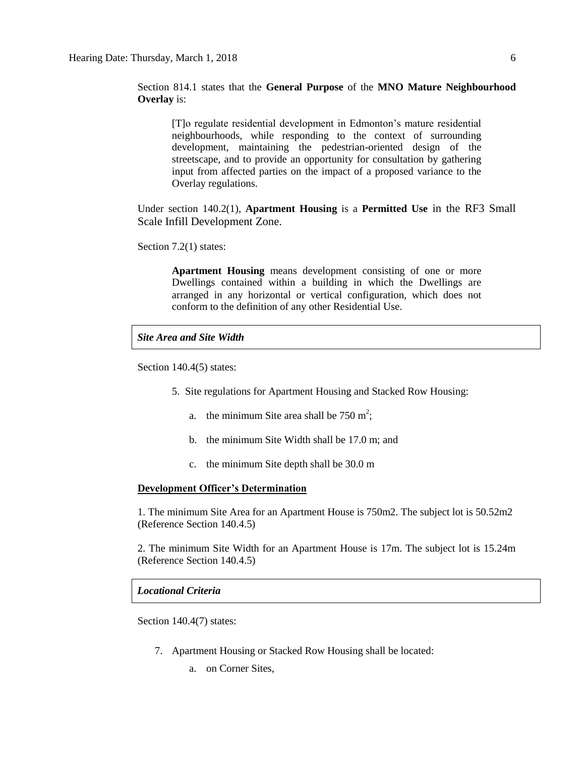Section 814.1 states that the **General Purpose** of the **MNO Mature Neighbourhood Overlay** is:

[T]o regulate residential development in Edmonton's mature residential neighbourhoods, while responding to the context of surrounding development, maintaining the pedestrian-oriented design of the streetscape, and to provide an opportunity for consultation by gathering input from affected parties on the impact of a proposed variance to the Overlay regulations.

Under section 140.2(1), **Apartment Housing** is a **Permitted Use** in the RF3 Small Scale Infill Development Zone.

Section 7.2(1) states:

**Apartment Housing** means development consisting of one or more Dwellings contained within a building in which the Dwellings are arranged in any horizontal or vertical configuration, which does not conform to the definition of any other Residential Use.

*Site Area and Site Width*

Section 140.4(5) states:

- 5. Site regulations for Apartment Housing and Stacked Row Housing:
	- a. the minimum Site area shall be  $750 \text{ m}^2$ ;
	- b. the minimum Site Width shall be 17.0 m; and
	- c. the minimum Site depth shall be 30.0 m

## **Development Officer's Determination**

1. The minimum Site Area for an Apartment House is 750m2. The subject lot is 50.52m2 (Reference Section 140.4.5)

2. The minimum Site Width for an Apartment House is 17m. The subject lot is 15.24m (Reference Section 140.4.5)

## *Locational Criteria*

Section 140.4(7) states:

- 7. Apartment Housing or Stacked Row Housing shall be located:
	- a. on Corner Sites,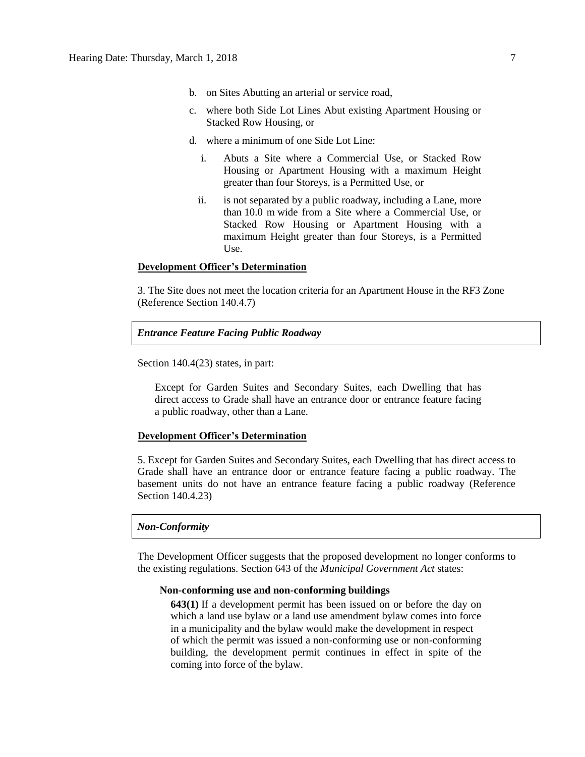- b. on Sites Abutting an arterial or service road,
- c. where both Side Lot Lines Abut existing Apartment Housing or Stacked Row Housing, or
- d. where a minimum of one Side Lot Line:
	- i. Abuts a Site where a Commercial Use, or Stacked Row Housing or Apartment Housing with a maximum Height greater than four Storeys, is a Permitted Use, or
	- ii. is not separated by a public roadway, including a Lane, more than 10.0 m wide from a Site where a Commercial Use, or Stacked Row Housing or Apartment Housing with a maximum Height greater than four Storeys, is a Permitted Use.

#### **Development Officer's Determination**

3. The Site does not meet the location criteria for an Apartment House in the RF3 Zone (Reference Section 140.4.7)

#### *Entrance Feature Facing Public Roadway*

Section 140.4(23) states, in part:

Except for Garden Suites and Secondary Suites, each Dwelling that has direct access to Grade shall have an entrance door or entrance feature facing a public roadway, other than a Lane.

#### **Development Officer's Determination**

5. Except for Garden Suites and Secondary Suites, each Dwelling that has direct access to Grade shall have an entrance door or entrance feature facing a public roadway. The basement units do not have an entrance feature facing a public roadway (Reference Section 140.4.23)

### *Non-Conformity*

The Development Officer suggests that the proposed development no longer conforms to the existing regulations. Section 643 of the *Municipal Government Act* states:

#### **Non-conforming use and non-conforming buildings**

**643(1)** If a development permit has been issued on or before the day on which a land use bylaw or a land use amendment bylaw comes into force in a municipality and the bylaw would make the development in respect of which the permit was issued a non-conforming use or non-conforming building, the development permit continues in effect in spite of the coming into force of the bylaw.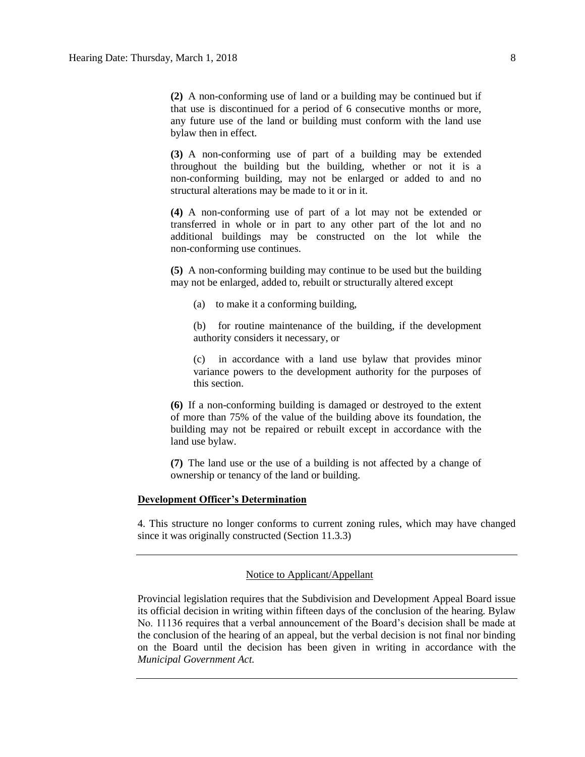**(2)** A non-conforming use of land or a building may be continued but if that use is discontinued for a period of 6 consecutive months or more, any future use of the land or building must conform with the land use bylaw then in effect.

**(3)** A non-conforming use of part of a building may be extended throughout the building but the building, whether or not it is a non-conforming building, may not be enlarged or added to and no structural alterations may be made to it or in it.

**(4)** A non-conforming use of part of a lot may not be extended or transferred in whole or in part to any other part of the lot and no additional buildings may be constructed on the lot while the non-conforming use continues.

**(5)** A non-conforming building may continue to be used but the building may not be enlarged, added to, rebuilt or structurally altered except

(a) to make it a conforming building,

(b) for routine maintenance of the building, if the development authority considers it necessary, or

(c) in accordance with a land use bylaw that provides minor variance powers to the development authority for the purposes of this section.

**(6)** If a non-conforming building is damaged or destroyed to the extent of more than 75% of the value of the building above its foundation, the building may not be repaired or rebuilt except in accordance with the land use bylaw.

**(7)** The land use or the use of a building is not affected by a change of ownership or tenancy of the land or building.

#### **Development Officer's Determination**

4. This structure no longer conforms to current zoning rules, which may have changed since it was originally constructed (Section 11.3.3)

#### Notice to Applicant/Appellant

Provincial legislation requires that the Subdivision and Development Appeal Board issue its official decision in writing within fifteen days of the conclusion of the hearing. Bylaw No. 11136 requires that a verbal announcement of the Board's decision shall be made at the conclusion of the hearing of an appeal, but the verbal decision is not final nor binding on the Board until the decision has been given in writing in accordance with the *Municipal Government Act.*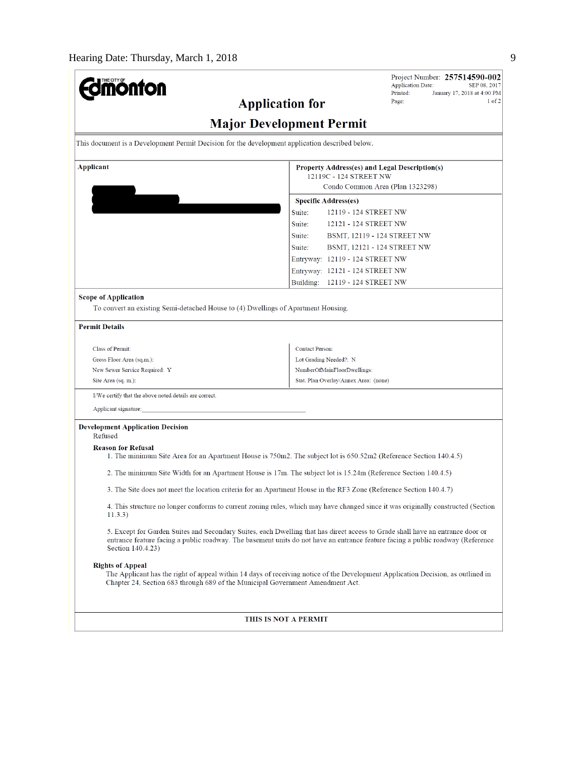| <b>nonton</b>                                                                                             | Project Number: 257514590-002<br><b>Application Date:</b><br>SEP 08, 2017                                                                                                                                                                                         |  |  |
|-----------------------------------------------------------------------------------------------------------|-------------------------------------------------------------------------------------------------------------------------------------------------------------------------------------------------------------------------------------------------------------------|--|--|
|                                                                                                           | Printed:<br>January 17, 2018 at 4:00 PM<br>$1$ of $2$<br>Page:<br><b>Application for</b>                                                                                                                                                                          |  |  |
|                                                                                                           | <b>Major Development Permit</b>                                                                                                                                                                                                                                   |  |  |
| This document is a Development Permit Decision for the development application described below.           |                                                                                                                                                                                                                                                                   |  |  |
|                                                                                                           |                                                                                                                                                                                                                                                                   |  |  |
| <b>Applicant</b>                                                                                          | Property Address(es) and Legal Description(s)<br>12119C - 124 STREET NW                                                                                                                                                                                           |  |  |
|                                                                                                           | Condo Common Area (Plan 1323298)                                                                                                                                                                                                                                  |  |  |
|                                                                                                           | <b>Specific Address(es)</b>                                                                                                                                                                                                                                       |  |  |
|                                                                                                           | Suite:<br>12119 - 124 STREET NW                                                                                                                                                                                                                                   |  |  |
|                                                                                                           | Suite:<br>12121 - 124 STREET NW                                                                                                                                                                                                                                   |  |  |
|                                                                                                           | Suite:<br>BSMT, 12119 - 124 STREET NW                                                                                                                                                                                                                             |  |  |
|                                                                                                           | Suite:<br>BSMT, 12121 - 124 STREET NW                                                                                                                                                                                                                             |  |  |
|                                                                                                           | Entryway: 12119 - 124 STREET NW                                                                                                                                                                                                                                   |  |  |
|                                                                                                           | Entryway: 12121 - 124 STREET NW                                                                                                                                                                                                                                   |  |  |
|                                                                                                           | Building: 12119 - 124 STREET NW                                                                                                                                                                                                                                   |  |  |
| <b>Scope of Application</b>                                                                               |                                                                                                                                                                                                                                                                   |  |  |
| To convert an existing Semi-detached House to (4) Dwellings of Apartment Housing.                         |                                                                                                                                                                                                                                                                   |  |  |
| <b>Permit Details</b>                                                                                     |                                                                                                                                                                                                                                                                   |  |  |
| <b>Class of Permit:</b>                                                                                   | <b>Contact Person:</b>                                                                                                                                                                                                                                            |  |  |
| Gross Floor Area (sq.m.):                                                                                 | Lot Grading Needed?: N                                                                                                                                                                                                                                            |  |  |
| New Sewer Service Required: Y                                                                             | NumberOfMainFloorDwellings:                                                                                                                                                                                                                                       |  |  |
| Site Area (sq. m.):                                                                                       | Stat. Plan Overlay/Annex Area: (none)                                                                                                                                                                                                                             |  |  |
| I/We certify that the above noted details are correct.                                                    |                                                                                                                                                                                                                                                                   |  |  |
| Applicant signature:                                                                                      |                                                                                                                                                                                                                                                                   |  |  |
| <b>Development Application Decision</b><br>Refused                                                        |                                                                                                                                                                                                                                                                   |  |  |
| <b>Reason for Refusal</b>                                                                                 |                                                                                                                                                                                                                                                                   |  |  |
|                                                                                                           | 1. The minimum Site Area for an Apartment House is 750m2. The subject lot is 650.52m2 (Reference Section 140.4.5)                                                                                                                                                 |  |  |
|                                                                                                           | 2. The minimum Site Width for an Apartment House is 17m. The subject lot is 15.24m (Reference Section 140.4.5)                                                                                                                                                    |  |  |
|                                                                                                           | 3. The Site does not meet the location criteria for an Apartment House in the RF3 Zone (Reference Section 140.4.7)                                                                                                                                                |  |  |
| 11.3.3)                                                                                                   | 4. This structure no longer conforms to current zoning rules, which may have changed since it was originally constructed (Section                                                                                                                                 |  |  |
| Section 140.4.23)                                                                                         | 5. Except for Garden Suites and Secondary Suites, each Dwelling that has direct access to Grade shall have an entrance door or<br>entrance feature facing a public roadway. The basement units do not have an entrance feature facing a public roadway (Reference |  |  |
| <b>Rights of Appeal</b><br>Chapter 24, Section 683 through 689 of the Municipal Government Amendment Act. | The Applicant has the right of appeal within 14 days of receiving notice of the Development Application Decision, as outlined in                                                                                                                                  |  |  |
|                                                                                                           | THIS IS NOT A PERMIT                                                                                                                                                                                                                                              |  |  |
|                                                                                                           |                                                                                                                                                                                                                                                                   |  |  |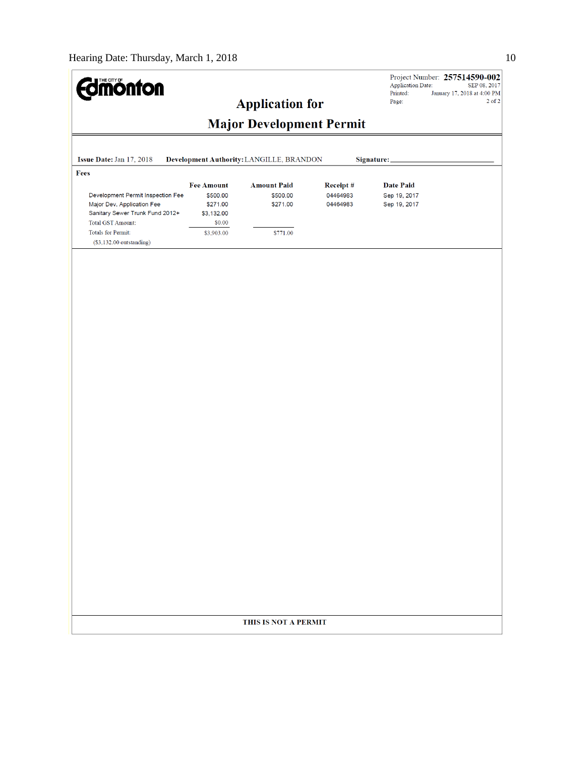| <b><i>Umönton</i></b>                                                                                                          |                                              |                                          |                      | <b>Application Date:</b>     | Project Number: 257514590-002<br>SEP 08, 2017 |
|--------------------------------------------------------------------------------------------------------------------------------|----------------------------------------------|------------------------------------------|----------------------|------------------------------|-----------------------------------------------|
|                                                                                                                                |                                              | <b>Application for</b>                   |                      | Printed:<br>Page:            | January 17, 2018 at 4:00 PM<br>$2$ of $2$     |
|                                                                                                                                |                                              |                                          |                      |                              |                                               |
|                                                                                                                                |                                              | <b>Major Development Permit</b>          |                      |                              |                                               |
| Issue Date: Jan 17, 2018                                                                                                       |                                              | Development Authority: LANGILLE, BRANDON |                      | Signature:                   |                                               |
| Fees                                                                                                                           |                                              |                                          |                      |                              |                                               |
|                                                                                                                                | <b>Fee Amount</b>                            | <b>Amount Paid</b>                       | Receipt#             | <b>Date Paid</b>             |                                               |
| Development Permit Inspection Fee<br>Major Dev. Application Fee<br>Sanitary Sewer Trunk Fund 2012+<br><b>Total GST Amount:</b> | \$500.00<br>\$271.00<br>\$3,132.00<br>\$0.00 | \$500.00<br>\$271.00                     | 04464983<br>04464983 | Sep 19, 2017<br>Sep 19, 2017 |                                               |
| <b>Totals for Permit:</b>                                                                                                      | \$3,903.00                                   | \$771.00                                 |                      |                              |                                               |
| $($3,132.00$ outstanding)                                                                                                      |                                              |                                          |                      |                              |                                               |
|                                                                                                                                |                                              |                                          |                      |                              |                                               |
|                                                                                                                                |                                              |                                          |                      |                              |                                               |
|                                                                                                                                |                                              | THIS IS NOT A PERMIT                     |                      |                              |                                               |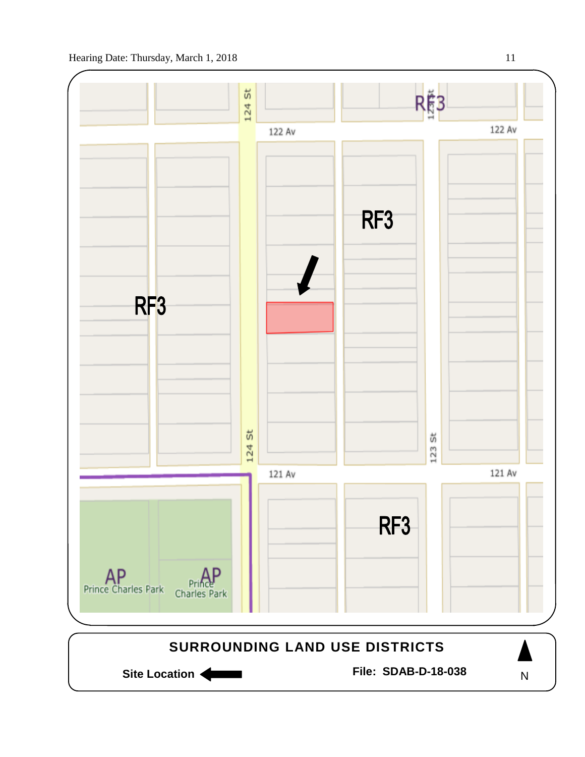

N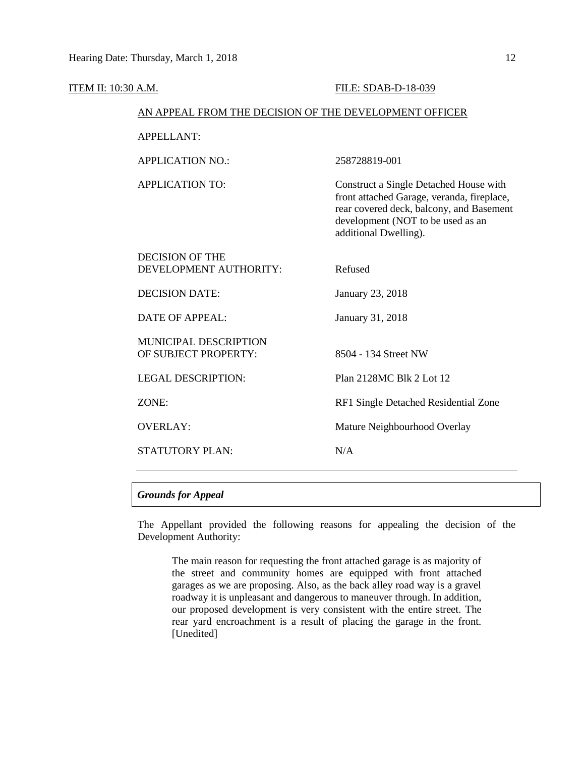| ITEM II: 10:30 A.M. |                                                        | FILE: SDAB-D-18-039                                                                                                                                                                            |  |  |  |  |
|---------------------|--------------------------------------------------------|------------------------------------------------------------------------------------------------------------------------------------------------------------------------------------------------|--|--|--|--|
|                     | AN APPEAL FROM THE DECISION OF THE DEVELOPMENT OFFICER |                                                                                                                                                                                                |  |  |  |  |
|                     | <b>APPELLANT:</b>                                      |                                                                                                                                                                                                |  |  |  |  |
|                     | <b>APPLICATION NO.:</b>                                | 258728819-001                                                                                                                                                                                  |  |  |  |  |
|                     | <b>APPLICATION TO:</b>                                 | Construct a Single Detached House with<br>front attached Garage, veranda, fireplace,<br>rear covered deck, balcony, and Basement<br>development (NOT to be used as an<br>additional Dwelling). |  |  |  |  |
|                     | <b>DECISION OF THE</b><br>DEVELOPMENT AUTHORITY:       | Refused                                                                                                                                                                                        |  |  |  |  |
|                     | <b>DECISION DATE:</b>                                  | January 23, 2018                                                                                                                                                                               |  |  |  |  |
|                     | <b>DATE OF APPEAL:</b>                                 | January 31, 2018                                                                                                                                                                               |  |  |  |  |
|                     | MUNICIPAL DESCRIPTION<br>OF SUBJECT PROPERTY:          | 8504 - 134 Street NW                                                                                                                                                                           |  |  |  |  |
|                     | <b>LEGAL DESCRIPTION:</b>                              | Plan 2128MC Blk 2 Lot 12                                                                                                                                                                       |  |  |  |  |
|                     | ZONE:                                                  | RF1 Single Detached Residential Zone                                                                                                                                                           |  |  |  |  |
|                     | <b>OVERLAY:</b>                                        | Mature Neighbourhood Overlay                                                                                                                                                                   |  |  |  |  |
|                     | <b>STATUTORY PLAN:</b>                                 | N/A                                                                                                                                                                                            |  |  |  |  |
|                     |                                                        |                                                                                                                                                                                                |  |  |  |  |

## *Grounds for Appeal*

The Appellant provided the following reasons for appealing the decision of the Development Authority:

The main reason for requesting the front attached garage is as majority of the street and community homes are equipped with front attached garages as we are proposing. Also, as the back alley road way is a gravel roadway it is unpleasant and dangerous to maneuver through. In addition, our proposed development is very consistent with the entire street. The rear yard encroachment is a result of placing the garage in the front. [Unedited]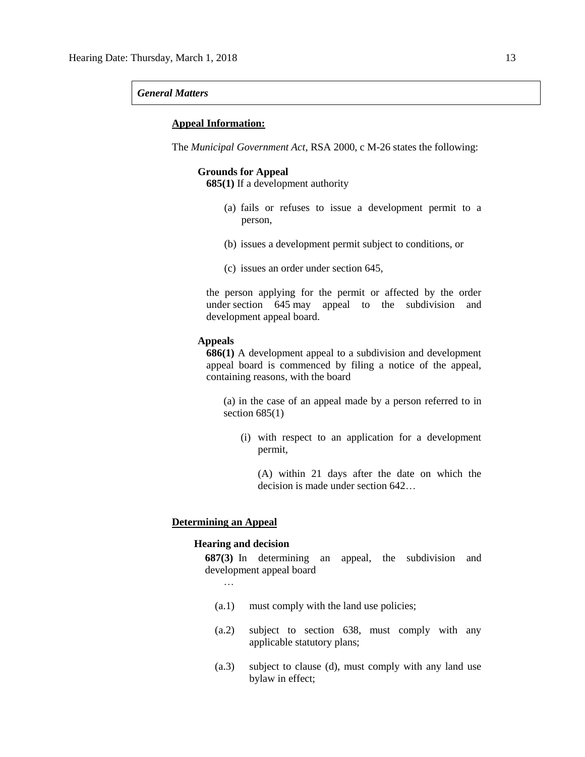#### *General Matters*

### **Appeal Information:**

The *Municipal Government Act*, RSA 2000, c M-26 states the following:

#### **Grounds for Appeal**

**685(1)** If a development authority

- (a) fails or refuses to issue a development permit to a person,
- (b) issues a development permit subject to conditions, or
- (c) issues an order under section 645,

the person applying for the permit or affected by the order under section 645 may appeal to the subdivision and development appeal board.

#### **Appeals**

**686(1)** A development appeal to a subdivision and development appeal board is commenced by filing a notice of the appeal, containing reasons, with the board

(a) in the case of an appeal made by a person referred to in section  $685(1)$ 

(i) with respect to an application for a development permit,

(A) within 21 days after the date on which the decision is made under section 642…

#### **Determining an Appeal**

## **Hearing and decision**

**687(3)** In determining an appeal, the subdivision and development appeal board

- …
- (a.1) must comply with the land use policies;
- (a.2) subject to section 638, must comply with any applicable statutory plans;
- (a.3) subject to clause (d), must comply with any land use bylaw in effect;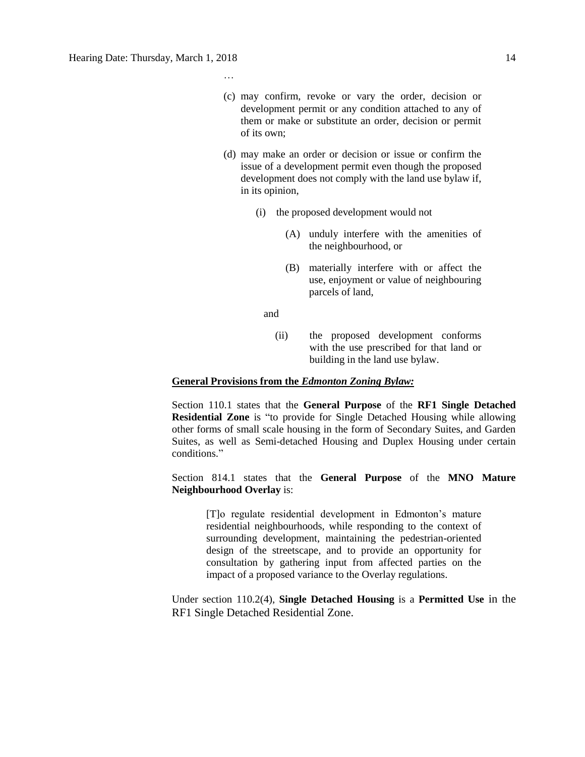…

- (c) may confirm, revoke or vary the order, decision or development permit or any condition attached to any of them or make or substitute an order, decision or permit of its own;
- (d) may make an order or decision or issue or confirm the issue of a development permit even though the proposed development does not comply with the land use bylaw if, in its opinion,
	- (i) the proposed development would not
		- (A) unduly interfere with the amenities of the neighbourhood, or
		- (B) materially interfere with or affect the use, enjoyment or value of neighbouring parcels of land,

**and and** 

(ii) the proposed development conforms with the use prescribed for that land or building in the land use bylaw.

#### **General Provisions from the** *Edmonton Zoning Bylaw:*

Section 110.1 states that the **General Purpose** of the **RF1 Single Detached Residential Zone** is "to provide for Single Detached Housing while allowing other forms of small scale housing in the form of Secondary Suites, and Garden Suites, as well as Semi-detached Housing and Duplex Housing under certain conditions."

## Section 814.1 states that the **General Purpose** of the **MNO Mature Neighbourhood Overlay** is:

[T]o regulate residential development in Edmonton's mature residential neighbourhoods, while responding to the context of surrounding development, maintaining the pedestrian-oriented design of the streetscape, and to provide an opportunity for consultation by gathering input from affected parties on the impact of a proposed variance to the Overlay regulations.

Under section 110.2(4), **Single Detached Housing** is a **Permitted Use** in the RF1 Single Detached Residential Zone.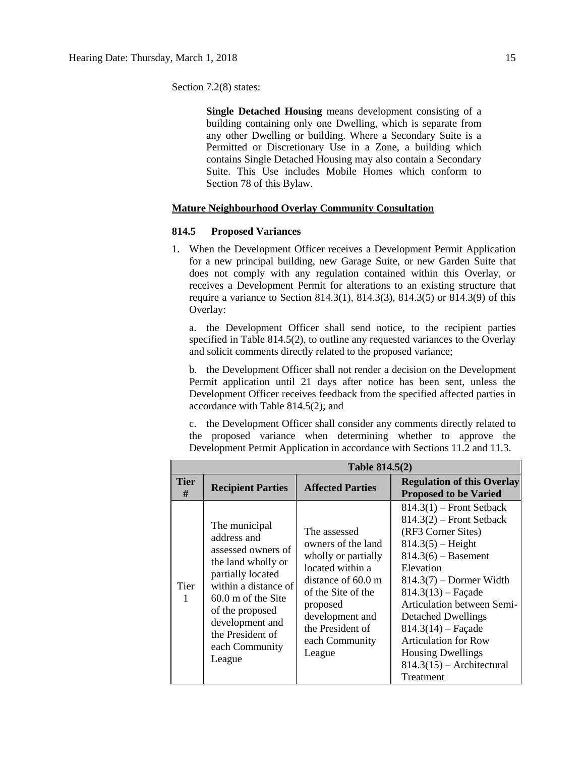Section 7.2(8) states:

**Single Detached Housing** means development consisting of a building containing only one Dwelling, which is separate from any other Dwelling or building. Where a Secondary Suite is a Permitted or Discretionary Use in a Zone, a building which contains Single Detached Housing may also contain a Secondary Suite. This Use includes Mobile Homes which conform to Section 78 of this Bylaw.

### **Mature Neighbourhood Overlay Community Consultation**

## **814.5 Proposed Variances**

1. When the Development Officer receives a Development Permit Application for a new principal building, new Garage Suite, or new Garden Suite that does not comply with any regulation contained within this Overlay, or receives a Development Permit for alterations to an existing structure that require a variance to Section 814.3(1), 814.3(3), 814.3(5) or 814.3(9) of this Overlay:

a. the Development Officer shall send notice, to the recipient parties specified in Table 814.5(2), to outline any requested variances to the Overlay and solicit comments directly related to the proposed variance;

b. the Development Officer shall not render a decision on the Development Permit application until 21 days after notice has been sent, unless the Development Officer receives feedback from the specified affected parties in accordance with Table 814.5(2); and

c. the Development Officer shall consider any comments directly related to the proposed variance when determining whether to approve the Development Permit Application in accordance with Sections 11.2 and 11.3.

|                  |                                                                                                                                                                                                                                     | Table 814.5(2)                                                                                                                                                                                                     |                                                                                                                                                                                                                                                                                                                                                                                            |  |
|------------------|-------------------------------------------------------------------------------------------------------------------------------------------------------------------------------------------------------------------------------------|--------------------------------------------------------------------------------------------------------------------------------------------------------------------------------------------------------------------|--------------------------------------------------------------------------------------------------------------------------------------------------------------------------------------------------------------------------------------------------------------------------------------------------------------------------------------------------------------------------------------------|--|
| <b>Tier</b><br># | <b>Recipient Parties</b>                                                                                                                                                                                                            | <b>Affected Parties</b>                                                                                                                                                                                            | <b>Regulation of this Overlay</b><br><b>Proposed to be Varied</b>                                                                                                                                                                                                                                                                                                                          |  |
| <b>Tier</b><br>1 | The municipal<br>address and<br>assessed owners of<br>the land wholly or<br>partially located<br>within a distance of<br>$60.0$ m of the Site<br>of the proposed<br>development and<br>the President of<br>each Community<br>League | The assessed<br>owners of the land<br>wholly or partially<br>located within a<br>distance of $60.0 \text{ m}$<br>of the Site of the<br>proposed<br>development and<br>the President of<br>each Community<br>League | $814.3(1)$ – Front Setback<br>$814.3(2)$ – Front Setback<br>(RF3 Corner Sites)<br>$814.3(5)$ – Height<br>$814.3(6) -$ Basement<br>Elevation<br>$814.3(7)$ – Dormer Width<br>$814.3(13)$ – Façade<br>Articulation between Semi-<br><b>Detached Dwellings</b><br>$814.3(14)$ - Façade<br><b>Articulation for Row</b><br><b>Housing Dwellings</b><br>$814.3(15)$ - Architectural<br>Treatment |  |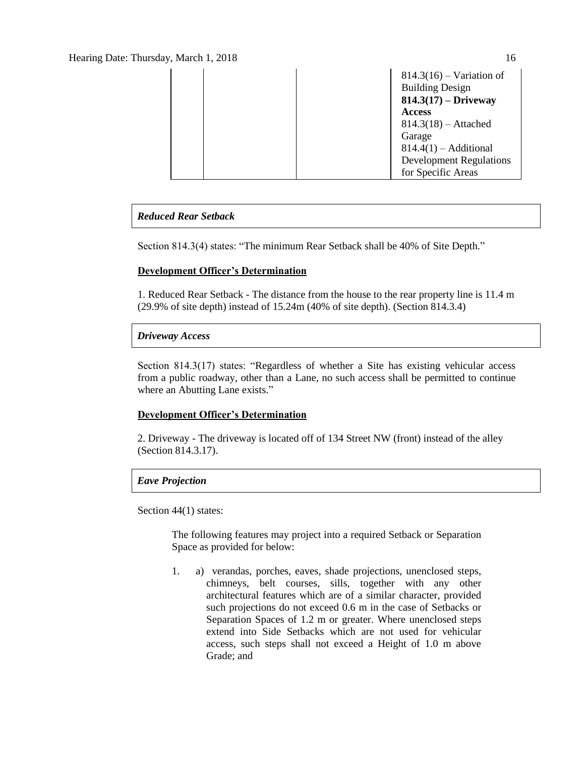## Hearing Date: Thursday, March 1, 2018 16

|  |               | $814.3(16)$ – Variation of     |
|--|---------------|--------------------------------|
|  |               | <b>Building Design</b>         |
|  |               | $814.3(17) - Driveway$         |
|  | <b>Access</b> |                                |
|  |               | $814.3(18) -$ Attached         |
|  | Garage        |                                |
|  |               | $814.4(1)$ – Additional        |
|  |               | <b>Development Regulations</b> |
|  |               | for Specific Areas             |

## *Reduced Rear Setback*

Section 814.3(4) states: "The minimum Rear Setback shall be 40% of Site Depth."

## **Development Officer's Determination**

1. Reduced Rear Setback - The distance from the house to the rear property line is 11.4 m (29.9% of site depth) instead of 15.24m (40% of site depth). (Section 814.3.4)

## *Driveway Access*

Section 814.3(17) states: "Regardless of whether a Site has existing vehicular access from a public roadway, other than a Lane, no such access shall be permitted to continue where an Abutting Lane exists."

## **Development Officer's Determination**

2. Driveway - The driveway is located off of 134 Street NW (front) instead of the alley (Section 814.3.17).

## *Eave Projection*

Section 44(1) states:

The following features may project into a required Setback or Separation Space as provided for below:

1. a) verandas, porches, eaves, shade projections, unenclosed steps, chimneys, belt courses, sills, together with any other architectural features which are of a similar character, provided such projections do not exceed 0.6 m in the case of Setbacks or Separation Spaces of 1.2 m or greater. Where unenclosed steps extend into Side Setbacks which are not used for vehicular access, such steps shall not exceed a Height of 1.0 m above Grade; and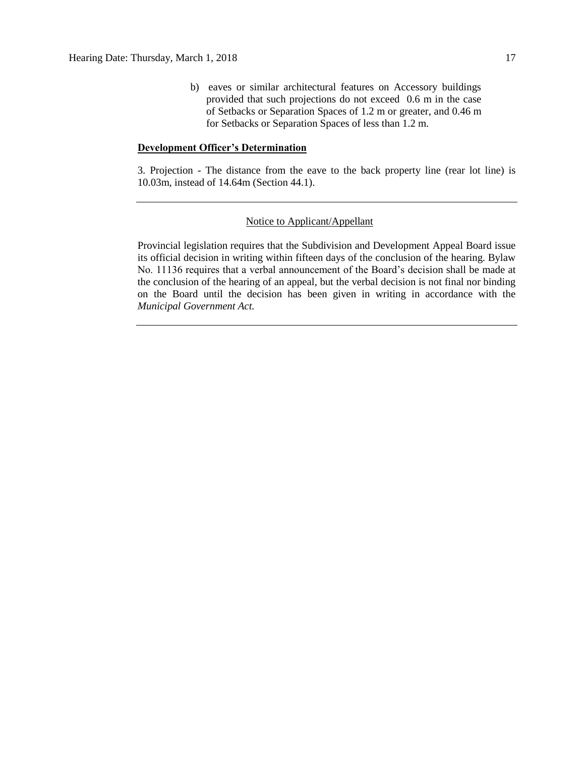b) eaves or similar architectural features on Accessory buildings provided that such projections do not exceed 0.6 m in the case of Setbacks or Separation Spaces of 1.2 m or greater, and 0.46 m for Setbacks or Separation Spaces of less than 1.2 m.

### **Development Officer's Determination**

3. Projection - The distance from the eave to the back property line (rear lot line) is 10.03m, instead of 14.64m (Section 44.1).

#### Notice to Applicant/Appellant

Provincial legislation requires that the Subdivision and Development Appeal Board issue its official decision in writing within fifteen days of the conclusion of the hearing. Bylaw No. 11136 requires that a verbal announcement of the Board's decision shall be made at the conclusion of the hearing of an appeal, but the verbal decision is not final nor binding on the Board until the decision has been given in writing in accordance with the *Municipal Government Act.*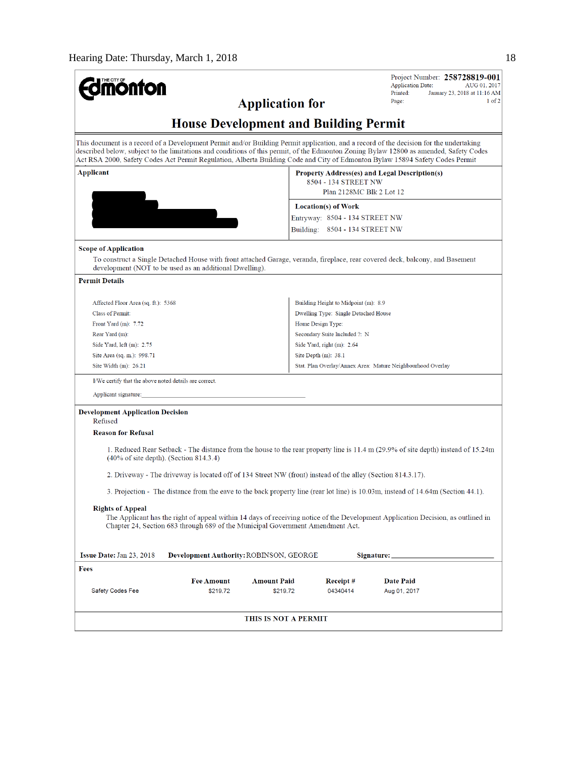| THE CITY OF<br><b>onton</b>                             |                                                                                                             |                                                                                                   |                                      | Project Number: 258728819-001<br><b>Application Date:</b><br>AUG 01, 2017                                                                                                                                                                                                                                                                                                                                        |  |
|---------------------------------------------------------|-------------------------------------------------------------------------------------------------------------|---------------------------------------------------------------------------------------------------|--------------------------------------|------------------------------------------------------------------------------------------------------------------------------------------------------------------------------------------------------------------------------------------------------------------------------------------------------------------------------------------------------------------------------------------------------------------|--|
| <b>Application for</b>                                  |                                                                                                             |                                                                                                   |                                      | Printed:<br>January 23, 2018 at 11:16 AM<br>$1$ of $2$<br>Page:                                                                                                                                                                                                                                                                                                                                                  |  |
|                                                         | <b>House Development and Building Permit</b>                                                                |                                                                                                   |                                      |                                                                                                                                                                                                                                                                                                                                                                                                                  |  |
|                                                         |                                                                                                             |                                                                                                   |                                      | This document is a record of a Development Permit and/or Building Permit application, and a record of the decision for the undertaking<br>described below, subject to the limitations and conditions of this permit, of the Edmonton Zoning Bylaw 12800 as amended, Safety Codes<br>Act RSA 2000, Safety Codes Act Permit Regulation, Alberta Building Code and City of Edmonton Bylaw 15894 Safety Codes Permit |  |
| Applicant                                               |                                                                                                             | Property Address(es) and Legal Description(s)<br>8504 - 134 STREET NW<br>Plan 2128MC Blk 2 Lot 12 |                                      |                                                                                                                                                                                                                                                                                                                                                                                                                  |  |
|                                                         |                                                                                                             |                                                                                                   | <b>Location(s) of Work</b>           |                                                                                                                                                                                                                                                                                                                                                                                                                  |  |
|                                                         |                                                                                                             |                                                                                                   | Entryway: 8504 - 134 STREET NW       |                                                                                                                                                                                                                                                                                                                                                                                                                  |  |
|                                                         |                                                                                                             |                                                                                                   | Building: 8504 - 134 STREET NW       |                                                                                                                                                                                                                                                                                                                                                                                                                  |  |
| <b>Scope of Application</b>                             |                                                                                                             |                                                                                                   |                                      |                                                                                                                                                                                                                                                                                                                                                                                                                  |  |
| development (NOT to be used as an additional Dwelling). |                                                                                                             |                                                                                                   |                                      | To construct a Single Detached House with front attached Garage, veranda, fireplace, rear covered deck, balcony, and Basement                                                                                                                                                                                                                                                                                    |  |
| <b>Permit Details</b>                                   |                                                                                                             |                                                                                                   |                                      |                                                                                                                                                                                                                                                                                                                                                                                                                  |  |
| Affected Floor Area (sq. ft.): 5368                     |                                                                                                             |                                                                                                   | Building Height to Midpoint (m): 8.9 |                                                                                                                                                                                                                                                                                                                                                                                                                  |  |
| <b>Class of Permit:</b>                                 |                                                                                                             |                                                                                                   | Dwelling Type: Single Detached House |                                                                                                                                                                                                                                                                                                                                                                                                                  |  |
| Front Yard $(m)$ : 7.72                                 |                                                                                                             |                                                                                                   | Home Design Type:                    |                                                                                                                                                                                                                                                                                                                                                                                                                  |  |
| Rear Yard (m):                                          |                                                                                                             |                                                                                                   | Secondary Suite Included ?: N        |                                                                                                                                                                                                                                                                                                                                                                                                                  |  |
| Side Yard, left $(m)$ : 2.75                            |                                                                                                             |                                                                                                   | Side Yard, right (m): 2.64           |                                                                                                                                                                                                                                                                                                                                                                                                                  |  |
| Site Area (sq. m.): 998.71                              | Site Depth $(m)$ : 38.1                                                                                     |                                                                                                   |                                      |                                                                                                                                                                                                                                                                                                                                                                                                                  |  |
| Site Width $(m)$ : 26.21                                |                                                                                                             |                                                                                                   |                                      | Stat. Plan Overlay/Annex Area: Mature Neighbourhood Overlay                                                                                                                                                                                                                                                                                                                                                      |  |
| I/We certify that the above noted details are correct.  |                                                                                                             |                                                                                                   |                                      |                                                                                                                                                                                                                                                                                                                                                                                                                  |  |
| Applicant signature:                                    |                                                                                                             |                                                                                                   |                                      |                                                                                                                                                                                                                                                                                                                                                                                                                  |  |
| <b>Development Application Decision</b>                 |                                                                                                             |                                                                                                   |                                      |                                                                                                                                                                                                                                                                                                                                                                                                                  |  |
| Refused                                                 |                                                                                                             |                                                                                                   |                                      |                                                                                                                                                                                                                                                                                                                                                                                                                  |  |
| <b>Reason for Refusal</b>                               |                                                                                                             |                                                                                                   |                                      |                                                                                                                                                                                                                                                                                                                                                                                                                  |  |
| $(40\% \text{ of site depth})$ . (Section 814.3.4)      |                                                                                                             |                                                                                                   |                                      | 1. Reduced Rear Setback - The distance from the house to the rear property line is 11.4 m (29.9% of site depth) instead of 15.24m                                                                                                                                                                                                                                                                                |  |
|                                                         | 2. Driveway - The driveway is located off of 134 Street NW (front) instead of the alley (Section 814.3.17). |                                                                                                   |                                      |                                                                                                                                                                                                                                                                                                                                                                                                                  |  |
|                                                         |                                                                                                             |                                                                                                   |                                      | 3. Projection - The distance from the eave to the back property line (rear lot line) is 10.03m, instead of 14.64m (Section 44.1).                                                                                                                                                                                                                                                                                |  |
| <b>Rights of Appeal</b>                                 | Chapter 24, Section 683 through 689 of the Municipal Government Amendment Act.                              |                                                                                                   |                                      | The Applicant has the right of appeal within 14 days of receiving notice of the Development Application Decision, as outlined in                                                                                                                                                                                                                                                                                 |  |
| <b>Issue Date: Jan 23, 2018</b>                         | <b>Development Authority: ROBINSON, GEORGE</b>                                                              |                                                                                                   |                                      | Signature:                                                                                                                                                                                                                                                                                                                                                                                                       |  |
| Fees                                                    |                                                                                                             |                                                                                                   |                                      |                                                                                                                                                                                                                                                                                                                                                                                                                  |  |
|                                                         | <b>Fee Amount</b>                                                                                           | <b>Amount Paid</b>                                                                                | Receipt #                            | Date Paid                                                                                                                                                                                                                                                                                                                                                                                                        |  |
| Safety Codes Fee                                        | \$219.72                                                                                                    | \$219.72                                                                                          | 04340414                             | Aug 01, 2017                                                                                                                                                                                                                                                                                                                                                                                                     |  |
|                                                         |                                                                                                             |                                                                                                   |                                      |                                                                                                                                                                                                                                                                                                                                                                                                                  |  |
|                                                         |                                                                                                             | THIS IS NOT A PERMIT                                                                              |                                      |                                                                                                                                                                                                                                                                                                                                                                                                                  |  |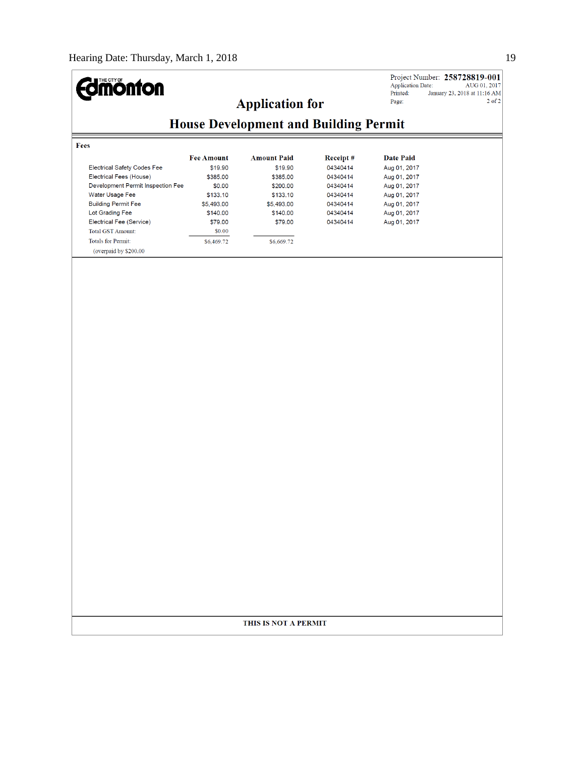#### **Edimonton** Application Date: Printed: **Application for** Page: **House Development and Building Permit** Fees **Amount Paid** Date Paid **Fee Amount** Receipt# Electrical Safety Codes Fee \$19.90 \$19.90 04340414 Aug 01, 2017 Electrical Fees (House) \$385.00 \$385.00 04340414 Aug 01, 2017 Development Permit Inspection Fee \$0.00 \$200.00 04340414 Aug 01, 2017 Water Usage Fee \$133.10 04340414 Aug 01, 2017 \$133.10 **Building Permit Fee** \$5,493.00 \$5,493.00 04340414 Aug 01, 2017 Lot Grading Fee \$140.00 \$140.00 04340414 Aug 01, 2017 Electrical Fee (Service) \$79.00 \$79.00 04340414 Aug 01, 2017  $$0.00$ Total GST Amount: Totals for Permit:  $$6,669.72$  $$6,469.72$ (overpaid by \$200.00)

#### THIS IS NOT A PERMIT

Project Number: 258728819-001 AUG 01, 2017 January 23, 2018 at 11:16 AM  $2$  of  $2$